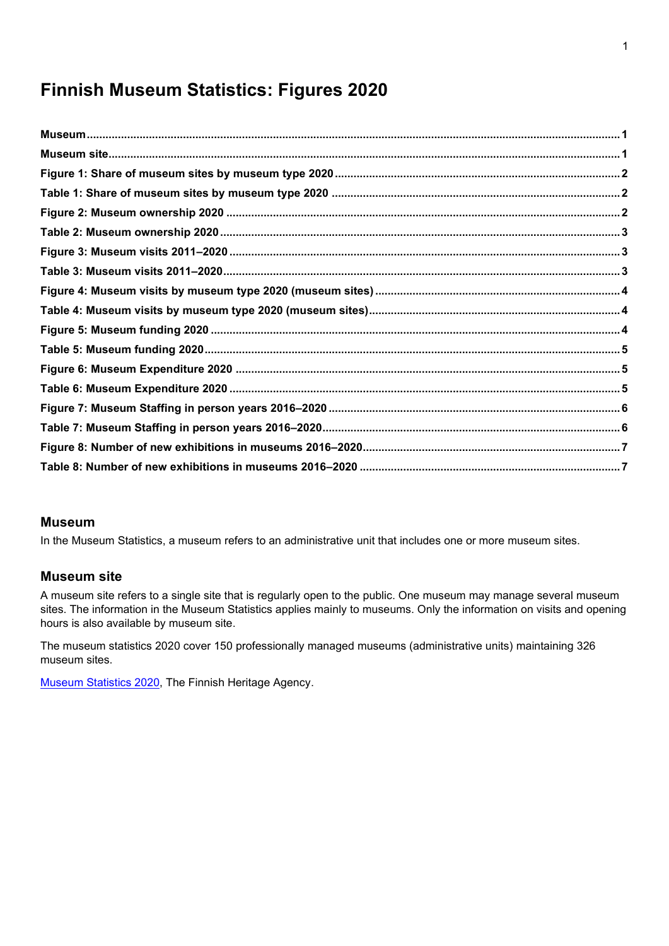# **Finnish Museum Statistics: Figures 2020**

#### <span id="page-0-0"></span>**Museum**

In the Museum Statistics, a museum refers to an administrative unit that includes one or more museum sites.

#### <span id="page-0-1"></span>**Museum site**

A museum site refers to a single site that is regularly open to the public. One museum may manage several museum sites. The information in the Museum Statistics applies mainly to museums. Only the information on visits and opening hours is also available by museum site.

The museum statistics 2020 cover 150 professionally managed museums (administrative units) maintaining 326 museum sites.

[Museum Statistics 202](http://www.museotilasto.fi/)0, The Finnish Heritage Agency.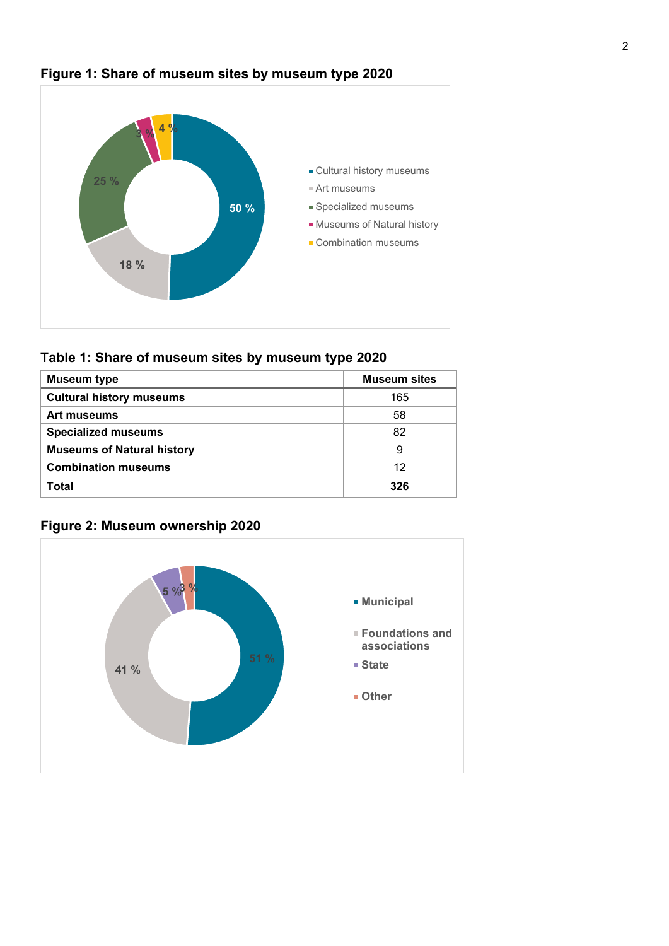

## <span id="page-1-0"></span>**Figure 1: Share of museum sites by museum type 2020**

<span id="page-1-1"></span>**Table 1: Share of museum sites by museum type 2020**

| <b>Museum type</b>                | <b>Museum sites</b> |
|-----------------------------------|---------------------|
| <b>Cultural history museums</b>   | 165                 |
| Art museums                       | 58                  |
| <b>Specialized museums</b>        | 82                  |
| <b>Museums of Natural history</b> | 9                   |
| <b>Combination museums</b>        | 12                  |
| Total                             | 326                 |

### <span id="page-1-2"></span>**Figure 2: Museum ownership 2020**

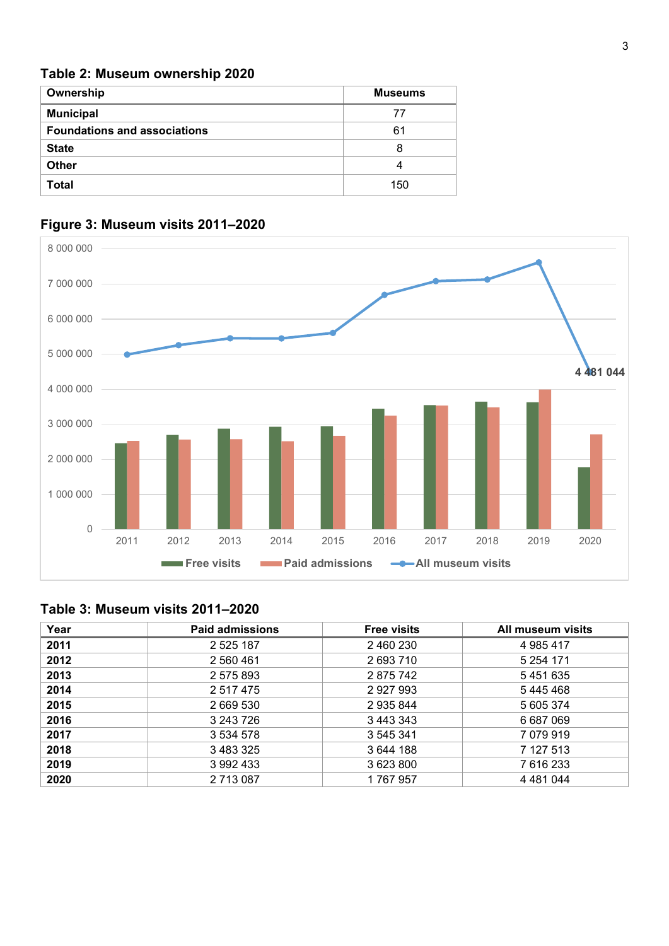#### <span id="page-2-0"></span>**Table 2: Museum ownership 2020**

| Ownership                           | <b>Museums</b> |
|-------------------------------------|----------------|
| <b>Municipal</b>                    | 77             |
| <b>Foundations and associations</b> | 61             |
| <b>State</b>                        | 8              |
| <b>Other</b>                        |                |
| <b>Total</b>                        | 150            |



## <span id="page-2-1"></span>**Figure 3: Museum visits 2011–2020**

#### <span id="page-2-2"></span>**Table 3: Museum visits 2011–2020**

| Year | <b>Paid admissions</b> | <b>Free visits</b> | All museum visits |
|------|------------------------|--------------------|-------------------|
| 2011 | 2 5 2 5 1 8 7          | 2 460 230          | 4 985 417         |
| 2012 | 2 560 461              | 2 693 710          | 5 254 171         |
| 2013 | 2 575 893              | 2875742            | 5451635           |
| 2014 | 2 5 1 7 4 7 5          | 2 9 2 7 9 9 3      | 5445468           |
| 2015 | 2 669 530              | 2 935 844          | 5 605 374         |
| 2016 | 3 243 726              | 3 443 343          | 6 687 069         |
| 2017 | 3 5 3 4 5 7 8          | 3 545 341          | 7 079 919         |
| 2018 | 3 483 325              | 3 644 188          | 7 127 513         |
| 2019 | 3 992 433              | 3 623 800          | 7 616 233         |
| 2020 | 2 713 087              | 1767957            | 4 4 8 1 0 4 4     |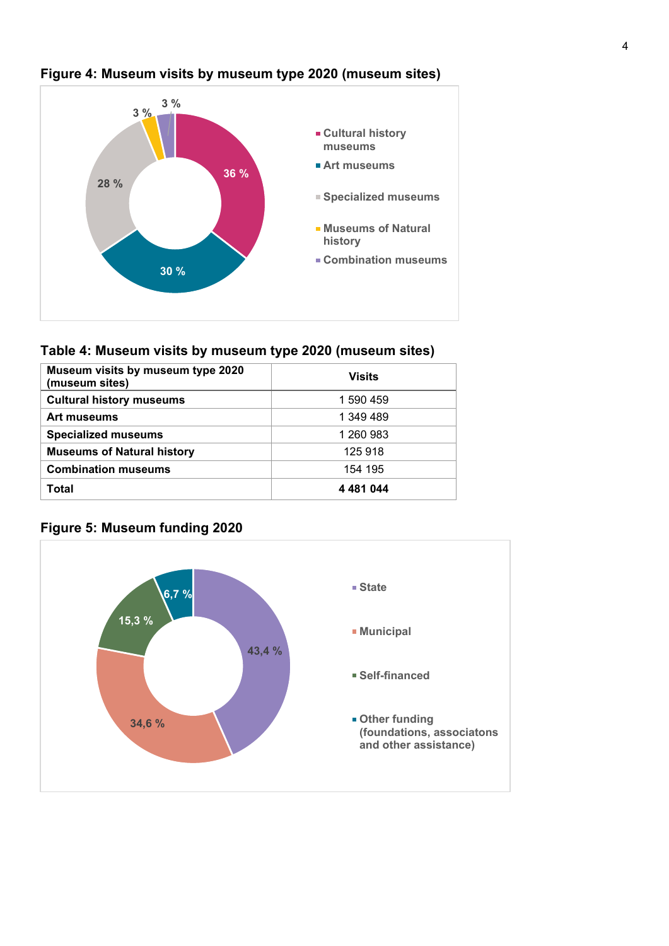

### <span id="page-3-0"></span>**Figure 4: Museum visits by museum type 2020 (museum sites)**

#### <span id="page-3-1"></span>**Table 4: Museum visits by museum type 2020 (museum sites)**

| Museum visits by museum type 2020<br>(museum sites) | <b>Visits</b> |
|-----------------------------------------------------|---------------|
| <b>Cultural history museums</b>                     | 1 590 459     |
| Art museums                                         | 1 349 489     |
| <b>Specialized museums</b>                          | 1 260 983     |
| <b>Museums of Natural history</b>                   | 125 918       |
| <b>Combination museums</b>                          | 154 195       |
| Total                                               | 4 4 8 1 0 4 4 |



### <span id="page-3-2"></span>**Figure 5: Museum funding 2020**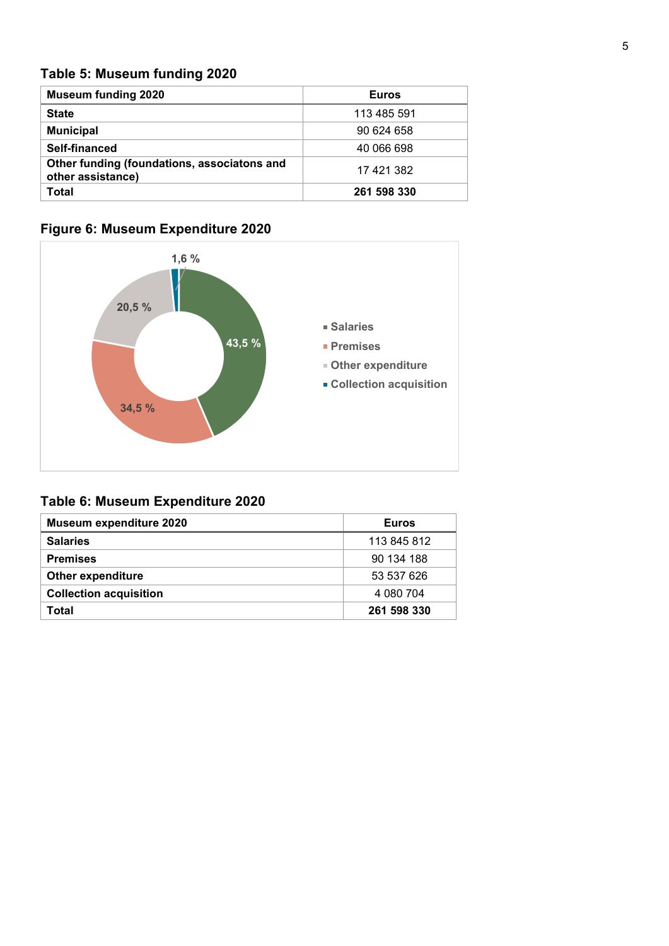## <span id="page-4-0"></span>**Table 5: Museum funding 2020**

| <b>Museum funding 2020</b>                                       | <b>Euros</b> |
|------------------------------------------------------------------|--------------|
| <b>State</b>                                                     | 113 485 591  |
| <b>Municipal</b>                                                 | 90 624 658   |
| Self-financed                                                    | 40 066 698   |
| Other funding (foundations, associatons and<br>other assistance) | 17 421 382   |
| Total                                                            | 261 598 330  |

## <span id="page-4-1"></span>**Figure 6: Museum Expenditure 2020**



## <span id="page-4-2"></span>**Table 6: Museum Expenditure 2020**

| Museum expenditure 2020       | <b>Euros</b> |
|-------------------------------|--------------|
| <b>Salaries</b>               | 113 845 812  |
| <b>Premises</b>               | 90 134 188   |
| <b>Other expenditure</b>      | 53 537 626   |
| <b>Collection acquisition</b> | 4 080 704    |
| Total                         | 261 598 330  |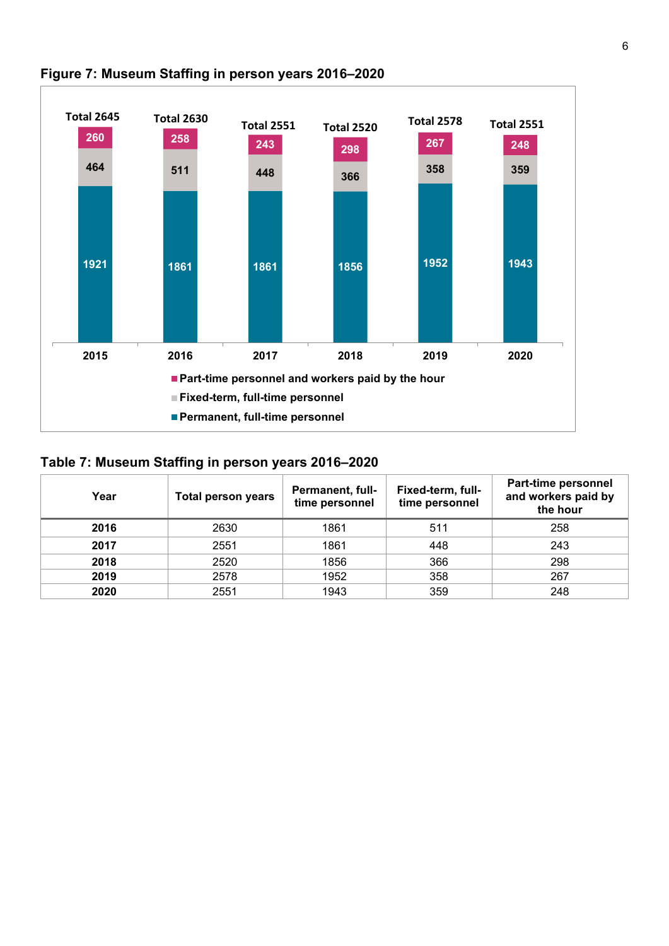

### <span id="page-5-0"></span>**Figure 7: Museum Staffing in person years 2016–2020**

#### <span id="page-5-1"></span>**Table 7: Museum Staffing in person years 2016–2020**

| Year | <b>Total person years</b> | <b>Permanent, full-</b><br>time personnel | Fixed-term, full-<br>time personnel | Part-time personnel<br>and workers paid by<br>the hour |
|------|---------------------------|-------------------------------------------|-------------------------------------|--------------------------------------------------------|
| 2016 | 2630                      | 1861                                      | 511                                 | 258                                                    |
| 2017 | 2551                      | 1861                                      | 448                                 | 243                                                    |
| 2018 | 2520                      | 1856                                      | 366                                 | 298                                                    |
| 2019 | 2578                      | 1952                                      | 358                                 | 267                                                    |
| 2020 | 2551                      | 1943                                      | 359                                 | 248                                                    |